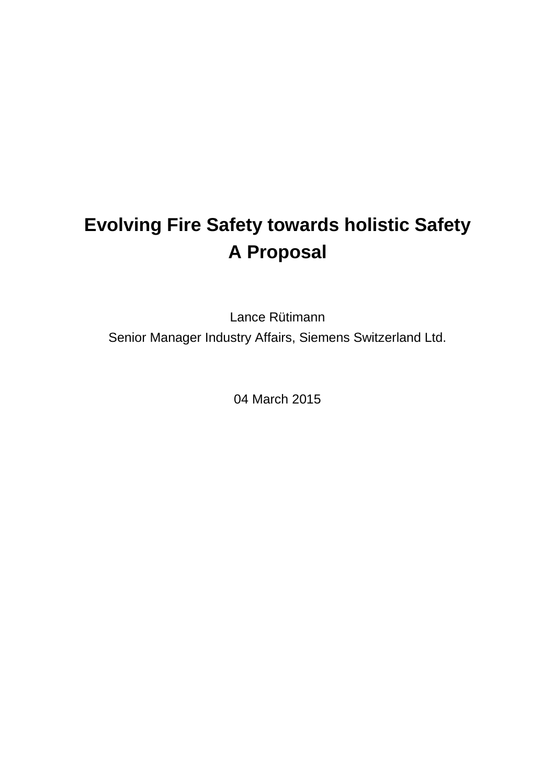# **Evolving Fire Safety towards holistic Safety A Proposal**

Lance Rütimann Senior Manager Industry Affairs, Siemens Switzerland Ltd.

04 March 2015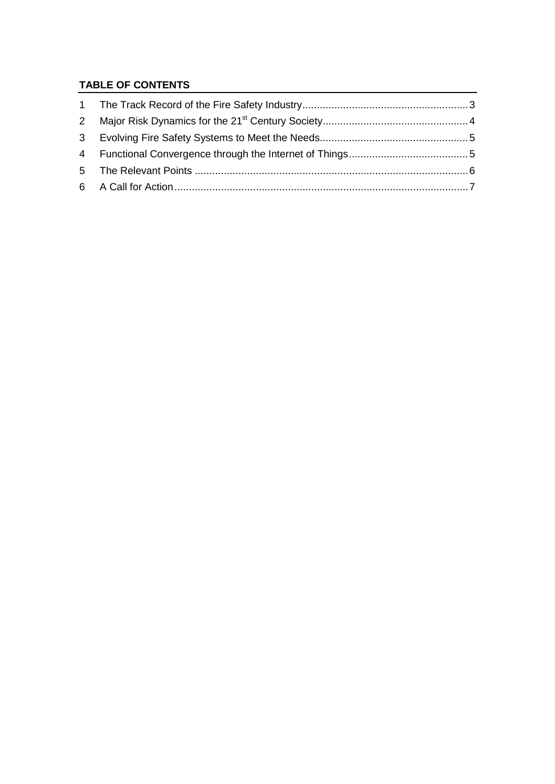#### **TABLE OF CONTENTS**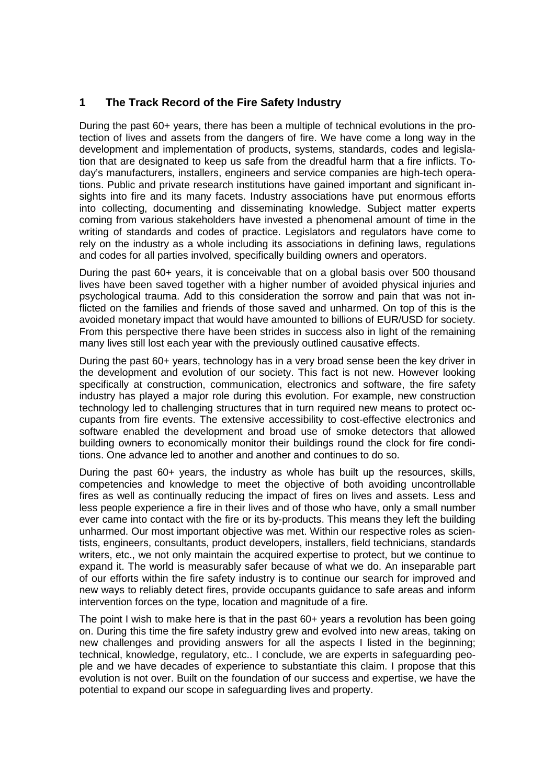#### <span id="page-2-0"></span>**1 The Track Record of the Fire Safety Industry**

During the past 60+ years, there has been a multiple of technical evolutions in the protection of lives and assets from the dangers of fire. We have come a long way in the development and implementation of products, systems, standards, codes and legislation that are designated to keep us safe from the dreadful harm that a fire inflicts. Today's manufacturers, installers, engineers and service companies are high-tech operations. Public and private research institutions have gained important and significant insights into fire and its many facets. Industry associations have put enormous efforts into collecting, documenting and disseminating knowledge. Subject matter experts coming from various stakeholders have invested a phenomenal amount of time in the writing of standards and codes of practice. Legislators and regulators have come to rely on the industry as a whole including its associations in defining laws, regulations and codes for all parties involved, specifically building owners and operators.

During the past 60+ years, it is conceivable that on a global basis over 500 thousand lives have been saved together with a higher number of avoided physical injuries and psychological trauma. Add to this consideration the sorrow and pain that was not inflicted on the families and friends of those saved and unharmed. On top of this is the avoided monetary impact that would have amounted to billions of EUR/USD for society. From this perspective there have been strides in success also in light of the remaining many lives still lost each year with the previously outlined causative effects.

During the past 60+ years, technology has in a very broad sense been the key driver in the development and evolution of our society. This fact is not new. However looking specifically at construction, communication, electronics and software, the fire safety industry has played a major role during this evolution. For example, new construction technology led to challenging structures that in turn required new means to protect occupants from fire events. The extensive accessibility to cost-effective electronics and software enabled the development and broad use of smoke detectors that allowed building owners to economically monitor their buildings round the clock for fire conditions. One advance led to another and another and continues to do so.

During the past 60+ years, the industry as whole has built up the resources, skills, competencies and knowledge to meet the objective of both avoiding uncontrollable fires as well as continually reducing the impact of fires on lives and assets. Less and less people experience a fire in their lives and of those who have, only a small number ever came into contact with the fire or its by-products. This means they left the building unharmed. Our most important objective was met. Within our respective roles as scientists, engineers, consultants, product developers, installers, field technicians, standards writers, etc., we not only maintain the acquired expertise to protect, but we continue to expand it. The world is measurably safer because of what we do. An inseparable part of our efforts within the fire safety industry is to continue our search for improved and new ways to reliably detect fires, provide occupants guidance to safe areas and inform intervention forces on the type, location and magnitude of a fire.

The point I wish to make here is that in the past  $60+$  years a revolution has been going on. During this time the fire safety industry grew and evolved into new areas, taking on new challenges and providing answers for all the aspects I listed in the beginning; technical, knowledge, regulatory, etc.. I conclude, we are experts in safeguarding people and we have decades of experience to substantiate this claim. I propose that this evolution is not over. Built on the foundation of our success and expertise, we have the potential to expand our scope in safeguarding lives and property.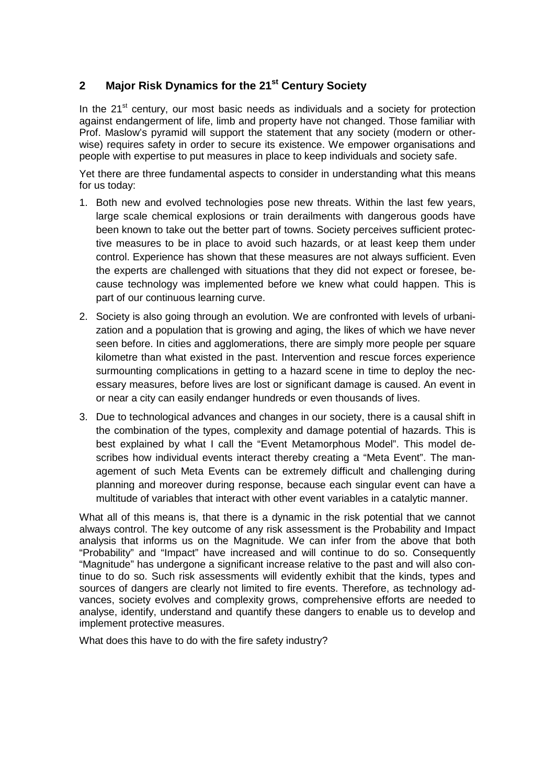## <span id="page-3-0"></span>**2 Major Risk Dynamics for the 21st Century Society**

In the  $21<sup>st</sup>$  century, our most basic needs as individuals and a society for protection against endangerment of life, limb and property have not changed. Those familiar with Prof. Maslow's pyramid will support the statement that any society (modern or otherwise) requires safety in order to secure its existence. We empower organisations and people with expertise to put measures in place to keep individuals and society safe.

Yet there are three fundamental aspects to consider in understanding what this means for us today:

- 1. Both new and evolved technologies pose new threats. Within the last few years, large scale chemical explosions or train derailments with dangerous goods have been known to take out the better part of towns. Society perceives sufficient protective measures to be in place to avoid such hazards, or at least keep them under control. Experience has shown that these measures are not always sufficient. Even the experts are challenged with situations that they did not expect or foresee, because technology was implemented before we knew what could happen. This is part of our continuous learning curve.
- 2. Society is also going through an evolution. We are confronted with levels of urbanization and a population that is growing and aging, the likes of which we have never seen before. In cities and agglomerations, there are simply more people per square kilometre than what existed in the past. Intervention and rescue forces experience surmounting complications in getting to a hazard scene in time to deploy the necessary measures, before lives are lost or significant damage is caused. An event in or near a city can easily endanger hundreds or even thousands of lives.
- 3. Due to technological advances and changes in our society, there is a causal shift in the combination of the types, complexity and damage potential of hazards. This is best explained by what I call the "Event Metamorphous Model". This model describes how individual events interact thereby creating a "Meta Event". The management of such Meta Events can be extremely difficult and challenging during planning and moreover during response, because each singular event can have a multitude of variables that interact with other event variables in a catalytic manner.

What all of this means is, that there is a dynamic in the risk potential that we cannot always control. The key outcome of any risk assessment is the Probability and Impact analysis that informs us on the Magnitude. We can infer from the above that both "Probability" and "Impact" have increased and will continue to do so. Consequently "Magnitude" has undergone a significant increase relative to the past and will also continue to do so. Such risk assessments will evidently exhibit that the kinds, types and sources of dangers are clearly not limited to fire events. Therefore, as technology advances, society evolves and complexity grows, comprehensive efforts are needed to analyse, identify, understand and quantify these dangers to enable us to develop and implement protective measures.

What does this have to do with the fire safety industry?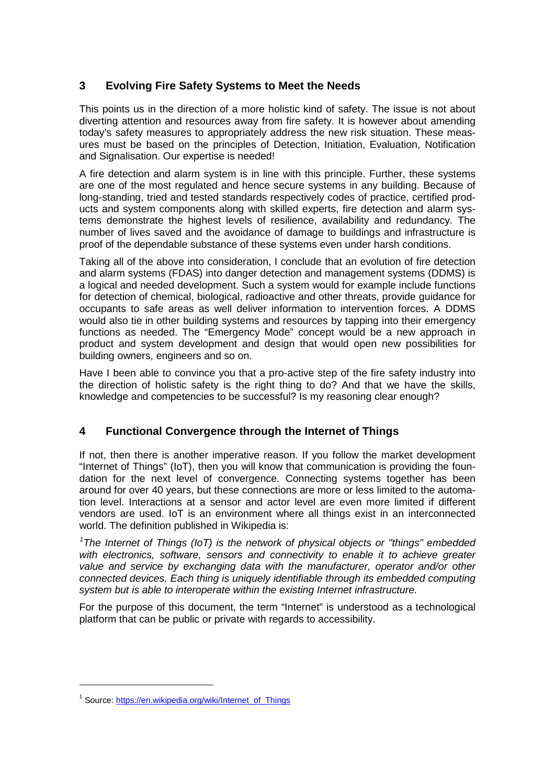## <span id="page-4-0"></span>**3 Evolving Fire Safety Systems to Meet the Needs**

This points us in the direction of a more holistic kind of safety. The issue is not about diverting attention and resources away from fire safety. It is however about amending today's safety measures to appropriately address the new risk situation. These measures must be based on the principles of Detection, Initiation, Evaluation, Notification and Signalisation. Our expertise is needed!

A fire detection and alarm system is in line with this principle. Further, these systems are one of the most regulated and hence secure systems in any building. Because of long-standing, tried and tested standards respectively codes of practice, certified products and system components along with skilled experts, fire detection and alarm systems demonstrate the highest levels of resilience, availability and redundancy. The number of lives saved and the avoidance of damage to buildings and infrastructure is proof of the dependable substance of these systems even under harsh conditions.

Taking all of the above into consideration, I conclude that an evolution of fire detection and alarm systems (FDAS) into danger detection and management systems (DDMS) is a logical and needed development. Such a system would for example include functions for detection of chemical, biological, radioactive and other threats, provide guidance for occupants to safe areas as well deliver information to intervention forces. A DDMS would also tie in other building systems and resources by tapping into their emergency functions as needed. The "Emergency Mode" concept would be a new approach in product and system development and design that would open new possibilities for building owners, engineers and so on.

Have I been able to convince you that a pro-active step of the fire safety industry into the direction of holistic safety is the right thing to do? And that we have the skills, knowledge and competencies to be successful? Is my reasoning clear enough?

## <span id="page-4-1"></span>**4 Functional Convergence through the Internet of Things**

If not, then there is another imperative reason. If you follow the market development "Internet of Things" (IoT), then you will know that communication is providing the foundation for the next level of convergence. Connecting systems together has been around for over 40 years, but these connections are more or less limited to the automation level. Interactions at a sensor and actor level are even more limited if different vendors are used. IoT is an environment where all things exist in an interconnected world. The definition published in Wikipedia is:

*[1](#page-4-2) The Internet of Things (IoT) is the network of physical objects or "things" embedded*  with electronics, software, sensors and connectivity to enable it to achieve greater *value and service by exchanging data with the manufacturer, operator and/or other connected devices. Each thing is uniquely identifiable through its embedded computing system but is able to interoperate within the existing Internet infrastructure.* 

For the purpose of this document, the term "Internet" is understood as a technological platform that can be public or private with regards to accessibility.

-

<span id="page-4-2"></span><sup>&</sup>lt;sup>1</sup> Source[: https://en.wikipedia.org/wiki/Internet\\_of\\_Things](https://en.wikipedia.org/wiki/Internet_of_Things)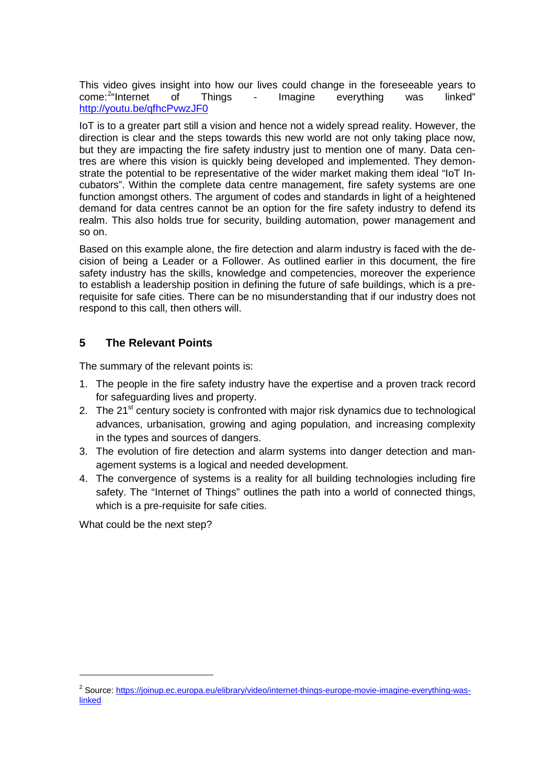This video gives insight into how our lives could change in the foreseeable years to come:<sup>2</sup>"Internet of Things - Imagine everything was linked" come:<sup>[2](#page-5-1)</sup>"Internet - Imagine everything <http://youtu.be/qfhcPvwzJF0>

IoT is to a greater part still a vision and hence not a widely spread reality. However, the direction is clear and the steps towards this new world are not only taking place now, but they are impacting the fire safety industry just to mention one of many. Data centres are where this vision is quickly being developed and implemented. They demonstrate the potential to be representative of the wider market making them ideal "IoT Incubators". Within the complete data centre management, fire safety systems are one function amongst others. The argument of codes and standards in light of a heightened demand for data centres cannot be an option for the fire safety industry to defend its realm. This also holds true for security, building automation, power management and so on.

Based on this example alone, the fire detection and alarm industry is faced with the decision of being a Leader or a Follower. As outlined earlier in this document, the fire safety industry has the skills, knowledge and competencies, moreover the experience to establish a leadership position in defining the future of safe buildings, which is a prerequisite for safe cities. There can be no misunderstanding that if our industry does not respond to this call, then others will.

#### <span id="page-5-0"></span>**5 The Relevant Points**

The summary of the relevant points is:

- 1. The people in the fire safety industry have the expertise and a proven track record for safeguarding lives and property.
- 2. The 21<sup>st</sup> century society is confronted with major risk dynamics due to technological advances, urbanisation, growing and aging population, and increasing complexity in the types and sources of dangers.
- 3. The evolution of fire detection and alarm systems into danger detection and management systems is a logical and needed development.
- 4. The convergence of systems is a reality for all building technologies including fire safety. The "Internet of Things" outlines the path into a world of connected things, which is a pre-requisite for safe cities.

What could be the next step?

-

<span id="page-5-1"></span><sup>&</sup>lt;sup>2</sup> Source[: https://joinup.ec.europa.eu/elibrary/video/internet-things-europe-movie-imagine-everything-was](https://joinup.ec.europa.eu/elibrary/video/internet-things-europe-movie-imagine-everything-was-linked)[linked](https://joinup.ec.europa.eu/elibrary/video/internet-things-europe-movie-imagine-everything-was-linked)